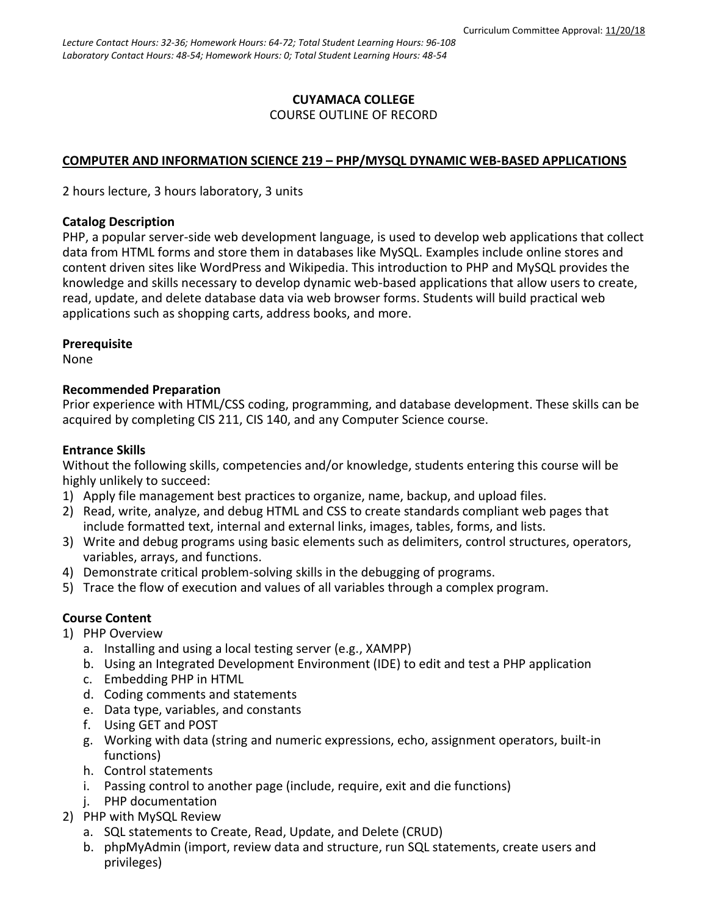### **CUYAMACA COLLEGE** COURSE OUTLINE OF RECORD

### **COMPUTER AND INFORMATION SCIENCE 219 – PHP/MYSQL DYNAMIC WEB-BASED APPLICATIONS**

2 hours lecture, 3 hours laboratory, 3 units

#### **Catalog Description**

PHP, a popular server-side web development language, is used to develop web applications that collect data from HTML forms and store them in databases like MySQL. Examples include online stores and content driven sites like WordPress and Wikipedia. This introduction to PHP and MySQL provides the knowledge and skills necessary to develop dynamic web-based applications that allow users to create, read, update, and delete database data via web browser forms. Students will build practical web applications such as shopping carts, address books, and more.

#### **Prerequisite**

None

#### **Recommended Preparation**

Prior experience with HTML/CSS coding, programming, and database development. These skills can be acquired by completing CIS 211, CIS 140, and any Computer Science course.

### **Entrance Skills**

Without the following skills, competencies and/or knowledge, students entering this course will be highly unlikely to succeed:

- 1) Apply file management best practices to organize, name, backup, and upload files.
- 2) Read, write, analyze, and debug HTML and CSS to create standards compliant web pages that include formatted text, internal and external links, images, tables, forms, and lists.
- 3) Write and debug programs using basic elements such as delimiters, control structures, operators, variables, arrays, and functions.
- 4) Demonstrate critical problem-solving skills in the debugging of programs.
- 5) Trace the flow of execution and values of all variables through a complex program.

### **Course Content**

- 1) PHP Overview
	- a. Installing and using a local testing server (e.g., XAMPP)
	- b. Using an Integrated Development Environment (IDE) to edit and test a PHP application
	- c. Embedding PHP in HTML
	- d. Coding comments and statements
	- e. Data type, variables, and constants
	- f. Using GET and POST
	- g. Working with data (string and numeric expressions, echo, assignment operators, built-in functions)
	- h. Control statements
	- i. Passing control to another page (include, require, exit and die functions)
	- j. PHP documentation
- 2) PHP with MySQL Review
	- a. SQL statements to Create, Read, Update, and Delete (CRUD)
	- b. phpMyAdmin (import, review data and structure, run SQL statements, create users and privileges)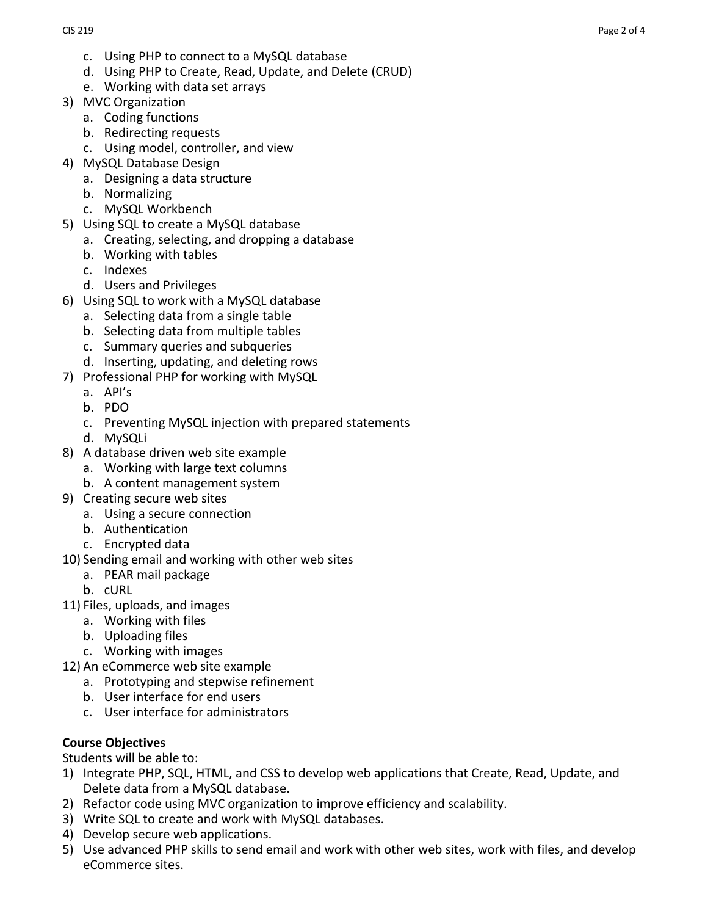- c. Using PHP to connect to a MySQL database
- d. Using PHP to Create, Read, Update, and Delete (CRUD)
- e. Working with data set arrays
- 3) MVC Organization
	- a. Coding functions
	- b. Redirecting requests
	- c. Using model, controller, and view
- 4) MySQL Database Design
	- a. Designing a data structure
	- b. Normalizing
	- c. MySQL Workbench
- 5) Using SQL to create a MySQL database
	- a. Creating, selecting, and dropping a database
		- b. Working with tables
		- c. Indexes
	- d. Users and Privileges
- 6) Using SQL to work with a MySQL database
	- a. Selecting data from a single table
		- b. Selecting data from multiple tables
		- c. Summary queries and subqueries
- d. Inserting, updating, and deleting rows
- 7) Professional PHP for working with MySQL
	- a. API's
	- b. PDO
	- c. Preventing MySQL injection with prepared statements
	- d. MySQLi
- 8) A database driven web site example
	- a. Working with large text columns
	- b. A content management system
- 9) Creating secure web sites
	- a. Using a secure connection
	- b. Authentication
	- c. Encrypted data
- 10) Sending email and working with other web sites
	- a. PEAR mail package
	- b. cURL
- 11) Files, uploads, and images
	- a. Working with files
	- b. Uploading files
	- c. Working with images
- 12) An eCommerce web site example
	- a. Prototyping and stepwise refinement
		- b. User interface for end users
		- c. User interface for administrators

# **Course Objectives**

Students will be able to:

- 1) Integrate PHP, SQL, HTML, and CSS to develop web applications that Create, Read, Update, and Delete data from a MySQL database.
- 2) Refactor code using MVC organization to improve efficiency and scalability.
- 3) Write SQL to create and work with MySQL databases.
- 4) Develop secure web applications.
- 5) Use advanced PHP skills to send email and work with other web sites, work with files, and develop eCommerce sites.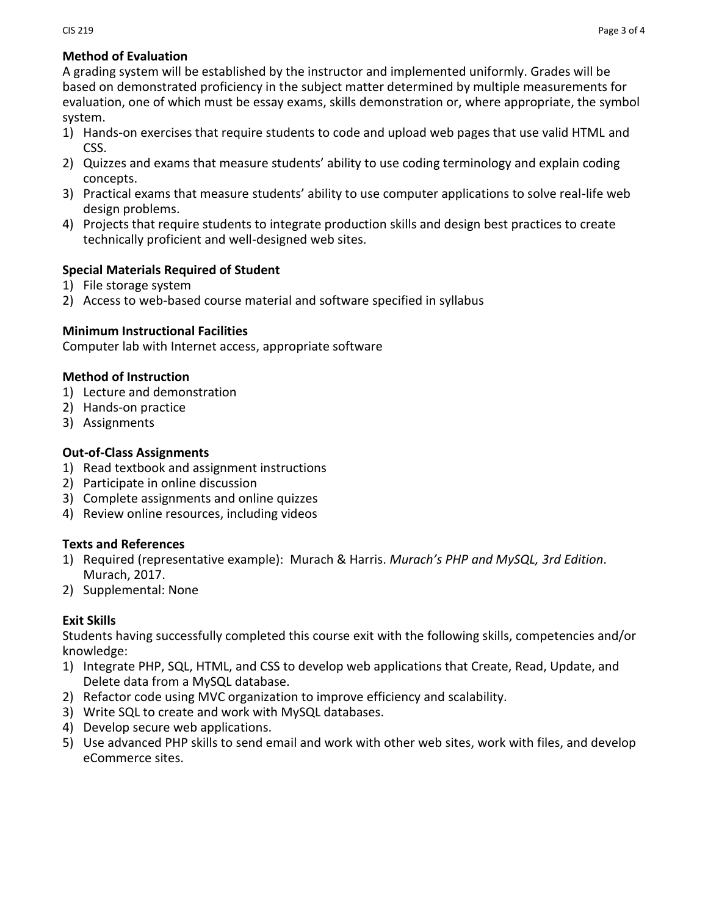# **Method of Evaluation**

A grading system will be established by the instructor and implemented uniformly. Grades will be based on demonstrated proficiency in the subject matter determined by multiple measurements for evaluation, one of which must be essay exams, skills demonstration or, where appropriate, the symbol system.

- 1) Hands-on exercises that require students to code and upload web pages that use valid HTML and CSS.
- 2) Quizzes and exams that measure students' ability to use coding terminology and explain coding concepts.
- 3) Practical exams that measure students' ability to use computer applications to solve real-life web design problems.
- 4) Projects that require students to integrate production skills and design best practices to create technically proficient and well-designed web sites.

# **Special Materials Required of Student**

- 1) File storage system
- 2) Access to web-based course material and software specified in syllabus

## **Minimum Instructional Facilities**

Computer lab with Internet access, appropriate software

## **Method of Instruction**

- 1) Lecture and demonstration
- 2) Hands-on practice
- 3) Assignments

# **Out-of-Class Assignments**

- 1) Read textbook and assignment instructions
- 2) Participate in online discussion
- 3) Complete assignments and online quizzes
- 4) Review online resources, including videos

## **Texts and References**

- 1) Required (representative example): Murach & Harris. *Murach's PHP and MySQL, 3rd Edition*. Murach, 2017.
- 2) Supplemental: None

## **Exit Skills**

Students having successfully completed this course exit with the following skills, competencies and/or knowledge:

- 1) Integrate PHP, SQL, HTML, and CSS to develop web applications that Create, Read, Update, and Delete data from a MySQL database.
- 2) Refactor code using MVC organization to improve efficiency and scalability.
- 3) Write SQL to create and work with MySQL databases.
- 4) Develop secure web applications.
- 5) Use advanced PHP skills to send email and work with other web sites, work with files, and develop eCommerce sites.